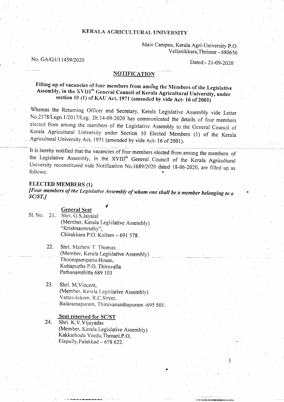## KERALA AGRICULTURAL UNIVERSITY

Main campus, Kerala Agri-University p.o. Vellanikkara, Thrissur - 680656

-<br>-<br>-

No. GA/G1/11459/2020

\*\* \*'\* -- a iginti iyo na .

#### NOTIFICATION

# Filling up of vacancies of four members from among the Members of the Legislative<br>Assembly, in the XVIII<sup>th</sup> General Council of Kerala Agricultural University, under<br>section 10 (1) of KAU Act, 1971 (amended by vide Act- 1

Whereas the Returning Officer and Secretary, Kerala Legislative Assembly vide Letter No.2378/Legn.1/2017/Leg. Dt.14-09-2020 has communicated the details of four members elected from among the members of the Legislative Ass Kerala Agricultural University under Section 10 Elected Members (1) of the Kerala<br>Agricultural University Act, 1971 (amended by vide Act-16 of 2001).

It is hereby notified that the vacancies of four members elected from among the members of the Legislative Assembly, in the XVIII<sup>th</sup> General Council of the Kerala Agricultural University reconstituted vide Notification No.1689/2020 dated 18-06-2020, are filled up as follows:

### ELECTED MEMBERS (T)

[Four members of the Legislative Assembly of whom one shall be a member belonging to a  $SC/ST$ .]

#### General Seat

- Sl. No. <sup>21</sup>. Shri. G.S.Jayalal (Member, Kerala Legislative Assembly) "Krishnasmruthy", Chirakkara P.O. Kollam - 691 578.
	- 22. Shri. Mathew T. Thomas \_ (Member, Kerala Legislative Assembly) - Thoompumpattu House, Kuttapuzha P.O. Thiruvalla Pathanamthitta 689 103

I

23. Shri. M,Vincent, (Member. Kerala Legislative Assembly) Vattavilakom. R.C. Street, Balaramapuram, Thiruvananthapuram -695 501.

#### Seat reserved for SC/ST 24. Shri. K.V.Vijayadas (Member, Kerala Legislative Assembly) Kakkathodu Veedu, Thenari.P.O, Elapully, Palakkad  $-678622$ .

r . .r \*l.|i.\* +r-.{t\*..tr..a..'al-/,